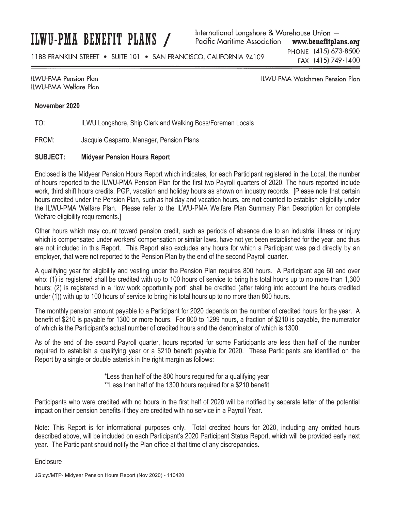ILWU-PMA BENEFIT PLANS /

International Longshore & Warehouse Union -Pacific Maritime Association www.benefitplans.org

1188 FRANKLIN STREET . SUITE 101 . SAN FRANCISCO, CALIFORNIA 94109

PHONE (415) 673-8500 FAX (415) 749-1400

## **ILWU-PMA Pension Plan** IIWU-PMA Welfare Plan

**ILWU-PMA Watchmen Pension Plan** 

## **November 2020**

TO: ILWU Longshore, Ship Clerk and Walking Boss/Foremen Locals

FROM: Jacquie Gasparro, Manager, Pension Plans

## **SUBJECT: Midyear Pension Hours Report**

Enclosed is the Midyear Pension Hours Report which indicates, for each Participant registered in the Local, the number of hours reported to the ILWU-PMA Pension Plan for the first two Payroll quarters of 2020. The hours reported include work, third shift hours credits, PGP, vacation and holiday hours as shown on industry records. [Please note that certain hours credited under the Pension Plan, such as holiday and vacation hours, are **not** counted to establish eligibility under the ILWU-PMA Welfare Plan. Please refer to the ILWU-PMA Welfare Plan Summary Plan Description for complete Welfare eligibility requirements.]

Other hours which may count toward pension credit, such as periods of absence due to an industrial illness or injury which is compensated under workers' compensation or similar laws, have not yet been established for the year, and thus are not included in this Report. This Report also excludes any hours for which a Participant was paid directly by an employer, that were not reported to the Pension Plan by the end of the second Payroll quarter.

A qualifying year for eligibility and vesting under the Pension Plan requires 800 hours. A Participant age 60 and over who: (1) is registered shall be credited with up to 100 hours of service to bring his total hours up to no more than 1,300 hours; (2) is registered in a "low work opportunity port" shall be credited (after taking into account the hours credited under (1)) with up to 100 hours of service to bring his total hours up to no more than 800 hours.

The monthly pension amount payable to a Participant for 2020 depends on the number of credited hours for the year. A benefit of \$210 is payable for 1300 or more hours. For 800 to 1299 hours, a fraction of \$210 is payable, the numerator of which is the Participant's actual number of credited hours and the denominator of which is 1300.

As of the end of the second Payroll quarter, hours reported for some Participants are less than half of the number required to establish a qualifying year or a \$210 benefit payable for 2020. These Participants are identified on the Report by a single or double asterisk in the right margin as follows:

\*Less than half of the 800 hours required for a qualifying year

\*\*Less than half of the 1300 hours required for a \$210 benefit

Participants who were credited with no hours in the first half of 2020 will be notified by separate letter of the potential impact on their pension benefits if they are credited with no service in a Payroll Year.

Note: This Report is for informational purposes only. Total credited hours for 2020, including any omitted hours described above, will be included on each Participant's 2020 Participant Status Report, which will be provided early next year. The Participant should notify the Plan office at that time of any discrepancies.

**Enclosure**